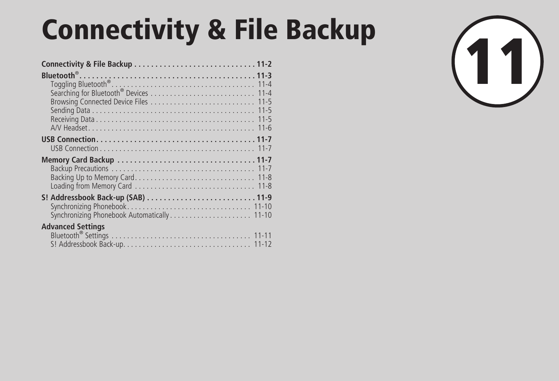# Connectivity & File Backup<br>
Connectivity & File Backup<br>
Bluetooth<sup>®</sup><br>
Connectivity & File Backup<br>
Discretion for Bluetooth<br>
Coarching for Bluetooth<br>
Discretion for Bluetooth<br>
Discretion for Bluetooth<br>
Discretion for Blueto

| <b>Advanced Settings</b> |  |
|--------------------------|--|
|                          |  |

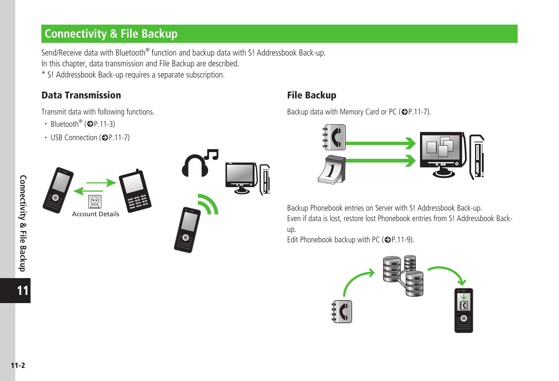# <span id="page-1-0"></span>**Connectivity & File Backup**

Send/Receive data with Bluetooth® function and backup data with S! Addressbook Back-up. In this chapter, data transmission and File Backup are described.

\* S! Addressbook Back-up requires a separate subscription.

### Data Transmission and the Data Transmission

Transmit data with following functions.

- Bluetooth<sup>®</sup> ( $\bigcirc$ P.11-3)
- $\cdot$  USB Connection ( $\bigcirc$ P.11-7)





Backup data with Memory Card or PC ( $\bigcirc$ P.11-7).



Backup Phonebook entries on Server with S! Addressbook Back-up. Even if data is lost, restore lost Phonebook entries from S! Addressbook Backup.

Edit Phonebook backup with PC ( $\bigcirc$ P.11-9).

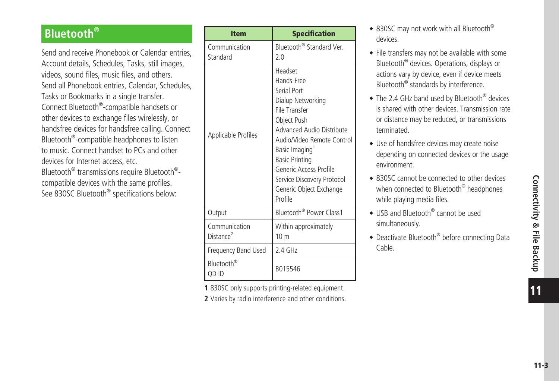# <span id="page-2-0"></span>**Bluetooth**®

Send and receive Phonebook or Calendar entries, Account details, Schedules, Tasks, still images, videos, sound files, music files, and others. Send all Phonebook entries, Calendar, Schedules, Tasks or Bookmarks in a single transfer. Connect Bluetooth® -compatible handsets or other devices to exchange files wirelessly, or handsfree devices for handsfree calling. Connect Bluetooth® -compatible headphones to listen to music. Connect handset to PCs and other devices for Internet access, etc. Bluetooth® transmissions require Bluetooth® compatible devices with the same profiles. See 830SC Bluetooth® specifications below:

| <b>Item</b>                            | <b>Specification</b>                                                                                                                                                                                                                                                                         |
|----------------------------------------|----------------------------------------------------------------------------------------------------------------------------------------------------------------------------------------------------------------------------------------------------------------------------------------------|
| Communication<br>Standard              | Bluetooth <sup>®</sup> Standard Ver.<br>2.0                                                                                                                                                                                                                                                  |
| <b>Applicable Profiles</b>             | Headset<br>Hands-Free<br>Serial Port<br>Dialup Networking<br>File Transfer<br>Object Push<br>Advanced Audio Distribute<br>Audio/Video Remote Control<br>Basic Imaging<br><b>Basic Printing</b><br>Generic Access Profile<br>Service Discovery Protocol<br>Generic Object Exchange<br>Profile |
| Output                                 | Bluetooth® Power Class1                                                                                                                                                                                                                                                                      |
| Communication<br>Distance <sup>2</sup> | Within approximately<br>10 <sub>m</sub>                                                                                                                                                                                                                                                      |
| Frequency Band Used                    | 2.4 GHz                                                                                                                                                                                                                                                                                      |
| Bluetooth <sup>®</sup><br>OD ID        | B015546                                                                                                                                                                                                                                                                                      |

**1** 830SC only supports printing-related equipment. **2** Varies by radio interference and other conditions.

- 830SC may not work with all Bluetooth® devices.
- File transfers may not be available with some Bluetooth® devices. Operations, displays or actions vary by device, even if device meets Bluetooth® standards by interference.
- The 2.4 GHz band used by Bluetooth<sup>®</sup> devices is shared with other devices. Transmission rate or distance may be reduced, or transmissions terminated.
- ・Use of handsfree devices may create noise depending on connected devices or the usage environment.
- 830SC cannot be connected to other devices when connected to Bluetooth<sup>®</sup> headphones while playing media files.
- USB and Bluetooth<sup>®</sup> cannot be used simultaneously.
- Deactivate Bluetooth® before connecting Data Cable.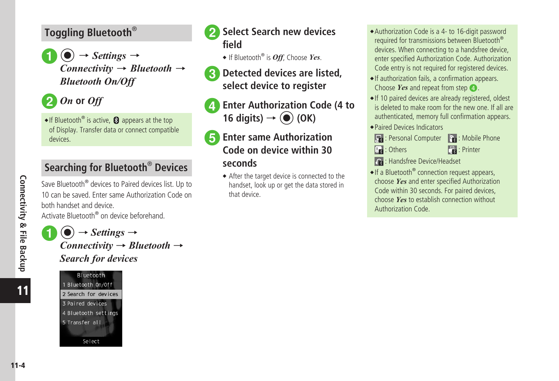# <span id="page-3-0"></span>**Toggling Bluetooth**®

 $\textcircled{\textcircled{\char'42}} \rightarrow$  *Settings*  $\rightarrow$ *Connectivity* → *Bluetooth* → *Bluetooth On/Off*



 $\bullet$  If Bluetooth<sup>®</sup> is active,  $\bullet$  appears at the top of Display. Transfer data or connect compatible devices.

# **Searching for Bluetooth**®  **Devices**

Save Bluetooth® devices to Paired devices list. Up to 10 can be saved. Enter same Authorization Code on both handset and device.

Activate Bluetooth® on device beforehand.

 $\phi$   $\rightarrow$  *Settings*  $\rightarrow$ *Connectivity* → *Bluetooth* → *Search for devices*

Bluetooth 1 Bluetooth On/Off 2 Search for devices 3 Paired devices 4 Bluetooth settings 5 Transfer all Select



# **2** Select Search new devices **field**

- ・If Bluetooth® is *Off*, Choose *Yes*.
- **R** Detected devices are listed, **select device to register**

**Enter Authorization Code (4 to**  $16 \text{ digits}$   $\rightarrow$   $\odot$   $(OK)$ 

# **E** Enter same Authorization **Code on device within 30 seconds**

・After the target device is connected to the handset, look up or get the data stored in that device.

- ・Authorization Code is a 4- to 16-digit password required for transmissions between Bluetooth® devices. When connecting to a handsfree device, enter specified Authorization Code. Authorization Code entry is not required for registered devices.
- If authorization fails, a confirmation appears. Choose *Yes* and repeat from step  $\bullet$ .
- ・If 10 paired devices are already registered, oldest is deleted to make room for the new one. If all are authenticated, memory full confirmation appears.
- ・Paired Devices Indicators



- 
- **Is a** : Others **in the set of the set of the set of the set of the set of the set of the set of the set of the set of the set of the set of the set of the set of the set of the set of the set of the set of the set of the**
- **B**: Handsfree Device/Headset
- If a Bluetooth<sup>®</sup> connection request appears, choose *Yes* and enter specified Authorization Code within 30 seconds. For paired devices, choose *Yes* to establish connection without Authorization Code.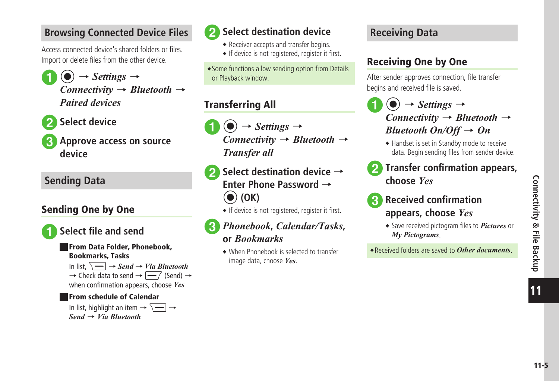11

# <span id="page-4-0"></span>**Browsing Connected Device Files**

Access connected device's shared folders or files. Import or delete files from the other device.

- $\phi$   $\rightarrow$  *Settings*  $\rightarrow$ *Connectivity* → *Bluetooth* → *Paired devices*
- **Select device**
- c**Approve access on source device**

# **Sending Data**

# Sending One by One



# a**Select file and send**

### ■ From Data Folder, Phonebook, Bookmarks, Tasks

In list,  $\boxed{\sim}$   $\rightarrow$  *Send*  $\rightarrow$  *Via Bluetooth*  $\rightarrow$  Check data to send  $\rightarrow \boxed{-7}$  (Send)  $\rightarrow$ when confirmation appears, choose *Yes*

### ■ From schedule of Calendar

In list, highlight an item  $\rightarrow \overline{\setminus -}$   $\rightarrow$ *Send* → *Via Bluetooth*



# **b** Select destination device

- Receiver accepts and transfer begins.
- If device is not registered, register it first.

・Some functions allow sending option from Details or Playback window.

# Transferring All

 $\textcircled{\textcircled{\char'42}} \rightarrow$  *Settings*  $\rightarrow$ *Connectivity* → *Bluetooth* → *Transfer all*

**b** Select destination device → **Enter Phone Password** → c **(OK)**

• If device is not registered, register it first.

### c*Phonebook***,** *Calendar/Tasks***, or** *Bookmarks*

・When Phonebook is selected to transfer image data, choose *Yes*.

# **Receiving Data**

# Receiving One by One

After sender approves connection, file transfer begins and received file is saved.

- $\textcircled{\textcircled{\char'42}} \rightarrow$  *Settings*  $\rightarrow$ *Connectivity* → *Bluetooth* → *Bluetooth On/Off* → *On*
- ・Handset is set in Standby mode to receive data. Begin sending files from sender device.
- b**Transfer confirmation appears, choose** *Yes*
- 

# c**Received confirmation appears, choose** *Yes*

・Save received pictogram files to *Pictures* or *My Pictograms*.

・Received folders are saved to *Other documents*.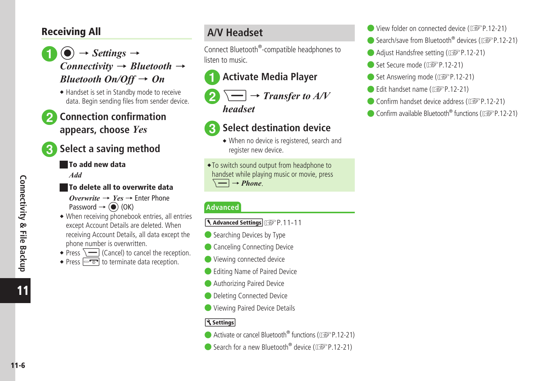### <span id="page-5-0"></span>Receiving All

- $\rightarrow$  *Settings*  $\rightarrow$ *Connectivity* → *Bluetooth* → *Bluetooth On/Off* → *On*
	- Handset is set in Standby mode to receive data. Begin sending files from sender device.
- b**Connection confirmation appears, choose** *Yes*



# **Select a saving method**

### ■ To add new data

*Add*

### ■ To delete all to overwrite data

- $$ Password  $\rightarrow$  ( $\bullet$ ) (OK)
- ・When receiving phonebook entries, all entries except Account Details are deleted. When receiving Account Details, all data except the phone number is overwritten.
- Press  $\sqrt{\phantom{a}}$  (Cancel) to cancel the reception.
- Press  $\boxed{\neg \neg \neg}$  to terminate data reception.

# **A/V Headset**

Connect Bluetooth® -compatible headphones to listen to music.

# a**Activate Media Player**

 $\sqrt{-}$   $\rightarrow$  *Transfer to A/V headset*

# **Select destination device**

・When no device is registered, search and register new device.

・To switch sound output from headphone to handset while playing music or movie, press  $\equiv \rightarrow$  *Phone.* 

### **Advanced**

- 1. Advanced Settings **P.11-11**
- Searching Devices by Type
- Canceling Connecting Device
- Viewing connected device
- Editing Name of Paired Device
- Authorizing Paired Device
- Deleting Connected Device
- Viewing Paired Device Details

### **K** Settings

- Activate or cancel Bluetooth<sup>®</sup> functions (L<sup>2</sup>P.12-21)
- Search for a new Bluetooth<sup>®</sup> device (L<sup>2</sup>P.12-21)
- View folder on connected device (re P.12-21)
- $\bullet$  Search/save from Bluetooth<sup>®</sup> devices ( $\circled{r}$ P.12-21)
- Adjust Handsfree setting (re P.12-21)
- Set Secure mode (ra P.12-21)
- Set Answering mode (r<sup>2</sup>P.12-21)
- Edit handset name ( $\mathbb{CP}$ P.12-21)
- Confirm handset device address ( $\mathbb{R}$ P.12-21)
- $\bullet$  Confirm available Bluetooth® functions ( $\circled{r}$ P.12-21)

11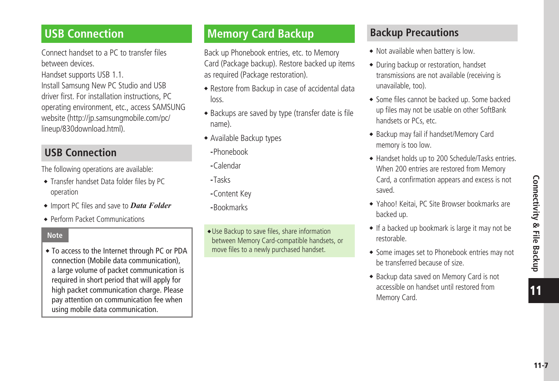11

# <span id="page-6-0"></span>**USB Connection**

Connect handset to a PC to transfer files between devices.

Handset supports USB 1.1.

Install Samsung New PC Studio and USB driver first. For installation instructions, PC operating environment, etc., access SAMSUNG website (http://jp.samsungmobile.com/pc/ lineup/830download.html).

# **USB Connection**

The following operations are available:

- Transfer handset Data folder files by PC operation
- ・ Import PC files and save to *Data Folder*
- ・Perform Packet Communications

### **Note**

・To access to the Internet through PC or PDA connection (Mobile data communication), a large volume of packet communication is required in short period that will apply for high packet communication charge. Please pay attention on communication fee when using mobile data communication.

# **Memory Card Backup**

Back up Phonebook entries, etc. to Memory Card (Package backup). Restore backed up items as required (Package restoration).

- ・Restore from Backup in case of accidental data loss.
- Backups are saved by type (transfer date is file name).
- ・Available Backup types
	- **-**Phonebook
	- **-**Calendar
	- **-**Tasks
	- **-**Content Key
- **-**Bookmarks

・ Use Backup to save files, share information between Memory Card-compatible handsets, or move files to a newly purchased handset.

# **Backup Precautions**

- Not available when battery is low.
- ・During backup or restoration, handset transmissions are not available (receiving is unavailable, too).
- Some files cannot be backed up. Some backed up files may not be usable on other SoftBank handsets or PCs, etc.
- ・Backup may fail if handset/Memory Card memory is too low.
- ・Handset holds up to 200 Schedule/Tasks entries. When 200 entries are restored from Memory Card, a confirmation appears and excess is not saved.
- ・Yahoo! Keitai, PC Site Browser bookmarks are backed up.
- ・If a backed up bookmark is large it may not be restorable.
- Some images set to Phonebook entries may not be transferred because of size.
- ・Backup data saved on Memory Card is not accessible on handset until restored from Memory Card.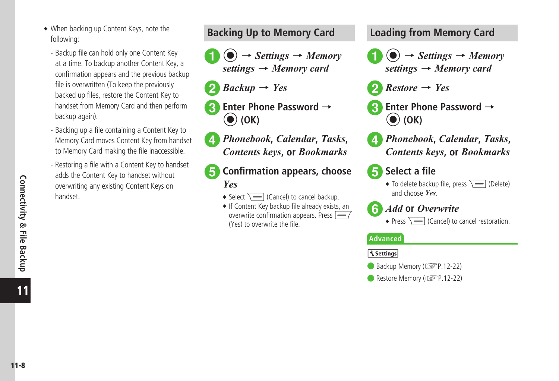- <span id="page-7-0"></span>・When backing up Content Keys, note the following:
	- Backup file can hold only one Content Key at a time. To backup another Content Key, a confirmation appears and the previous backup file is overwritten (To keep the previously backed up files, restore the Content Key to handset from Memory Card and then perform backup again).
	- Backing up a file containing a Content Key to Memory Card moves Content Key from handset to Memory Card making the file inaccessible.
	- Restoring a file with a Content Key to handset adds the Content Key to handset without overwriting any existing Content Keys on handset.





- b*Backup* <sup>→</sup> *Yes*
- c**Enter Phone Password** <sup>→</sup> c **(OK)**
- d*Phonebook***,** *Calendar***,** *Tasks***,**  *Contents keys***, or** *Bookmarks*
- **E** Confirmation appears, choose *Yes*
	- Select  $\sqrt{ }$  (Cancel) to cancel backup.
	- If Content Key backup file already exists, an overwrite confirmation appears. Press  $\leftarrow$  / (Yes) to overwrite the file.

# **Loading from Memory Card**

- $\left( \bullet \right) \rightarrow$  *Settings*  $\rightarrow$  *Memory settings* → *Memory card*
- $Res<sub>0</sub>$  *Restore*  $\rightarrow$  *Yes*
- **Enter Phone Password →** c **(OK)**
- d*Phonebook***,** *Calendar***,** *Tasks***,**  *Contents keys***, or** *Bookmarks*

# **h** Select a file

• To delete backup file, press  $\sqrt{\phantom{a}}$  (Delete) and choose *Yes*.



### f*Add* **or** *Overwrite*

• Press  $\sqrt{ }$  (Cancel) to cancel restoration.

### **Advanced**

### **Settings**

- Backup Memory ( $\circled{r}$ P.12-22)
- Restore Memory ( $\circled{r}$ P.12-22)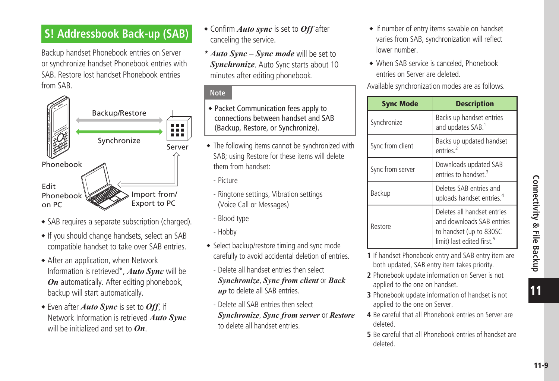# <span id="page-8-0"></span>**S! Addressbook Back-up (SAB)**

Backup handset Phonebook entries on Server or synchronize handset Phonebook entries with SAB. Restore lost handset Phonebook entries from SAB.



- SAB requires a separate subscription (charged).
- If you should change handsets, select an SAB compatible handset to take over SAB entries.
- After an application, when Network Information is retrieved\*, *Auto Sync* will be *On* automatically. After editing phonebook, backup will start automatically.
- ・Even after *Auto Sync* is set to *Off*, if Network Information is retrieved *Auto Sync* will be initialized and set to *On*.
- ・ Confirm *Auto sync* is set to *Off* after canceling the service.
- **\*** *Auto Sync Sync mode* will be set to *Synchronize*. Auto Sync starts about 10 minutes after editing phonebook.

### **Note**

- ・Packet Communication fees apply to connections between handset and SAB (Backup, Restore, or Synchronize).
- The following items cannot be synchronized with SAB; using Restore for these items will delete them from handset:
	- Picture
	- Ringtone settings, Vibration settings (Voice Call or Messages)
	- Blood type
	- Hobby
- Select backup/restore timing and sync mode carefully to avoid accidental deletion of entries.
	- Delete all handset entries then select *Synchronize*, *Sync from client* or *Back up* to delete all SAB entries.
	- Delete all SAB entries then select *Synchronize*, *Sync from server* or *Restore* to delete all handset entries.
- If number of entry items savable on handset varies from SAB, synchronization will reflect lower number.
- ・When SAB service is canceled, Phonebook entries on Server are deleted.

Available synchronization modes are as follows.

| <b>Sync Mode</b> | <b>Description</b>                                                                                                            |
|------------------|-------------------------------------------------------------------------------------------------------------------------------|
| Synchronize      | Backs up handset entries<br>and updates SAB.                                                                                  |
| Sync from client | Backs up updated handset<br>entries <sup>2</sup>                                                                              |
| Sync from server | Downloads updated SAB<br>entries to handset <sup>3</sup>                                                                      |
| Backup           | Deletes SAB entries and<br>uploads handset entries. <sup>4</sup>                                                              |
| Restore          | Deletes all handset entries<br>and downloads SAB entries<br>to handset (up to 830SC<br>limit) last edited first. <sup>5</sup> |

- **1** If handset Phonebook entry and SAB entry item are both updated, SAB entry item takes priority.
- **2** Phonebook update information on Server is not applied to the one on handset.
- **3** Phonebook update information of handset is not applied to the one on Server.
- **4** Be careful that all Phonebook entries on Server are deleted.
- **5** Be careful that all Phonebook entries of handset are deleted.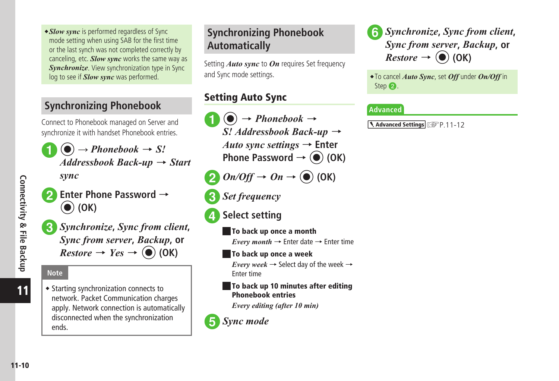11-10**Connectivity & File Backup** Connectivity & File Backup

11

<span id="page-9-0"></span>・*Slow sync* is performed regardless of Sync mode setting when using SAB for the first time or the last synch was not completed correctly by canceling, etc. *Slow sync* works the same way as *Synchronize*. View synchronization type in Sync log to see if *Slow sync* was performed.

# **Synchronizing Phonebook**

Connect to Phonebook managed on Server and synchronize it with handset Phonebook entries.

 $\phi$   $\rightarrow$  *Phonebook*  $\rightarrow$  *S! Addressbook Back-up* → *Start* 

*sync*

**D** Enter Phone Password → c **(OK)**

c*Synchronize***,** *Sync from client***,** *Sync from server***,** *Backup***, or**   $Restore \rightarrow Yes \rightarrow (\bullet) (OK)$ 

### **Note**

• Starting synchronization connects to network. Packet Communication charges apply. Network connection is automatically disconnected when the synchronization ends.

# **Synchronizing Phonebook Automatically**

Setting *Auto sync* to *On* requires Set frequency and Sync mode settings.

### Setting Auto Sync

 $\bigodot$   $\rightarrow$  *Phonebook*  $\rightarrow$ *S! Addressbook Back-up* → *Auto sync settings* → **Enter Phone Password**  $\rightarrow$  **(** $\bullet$ **) (OK)** 

**2**  $On\text{/}Off \rightarrow On \rightarrow \textcircled{\textcircled{\textbullet}}$  (OK)

- **3** Set frequency
- **d** Select setting
	- To back up once a month *Every month*  $\rightarrow$  Enter date  $\rightarrow$  Enter time
	- To back up once a week

*Every week*  $\rightarrow$  Select day of the week  $\rightarrow$ Enter time

■ To back up 10 minutes after editing Phonebook entries

*Every editing (after 10 min)*

### **E** Sync mode

f*Synchronize***,** *Sync from client***,** *Sync from server***,** *Backup***, or**   $Restore \rightarrow (\bullet)$  (OK)

・To cancel *Auto Sync*, set *Off* under *On/Off* in Step  $\mathbf{2}$ .

### **Advanced**

1. Advanced Settings **P.11-12**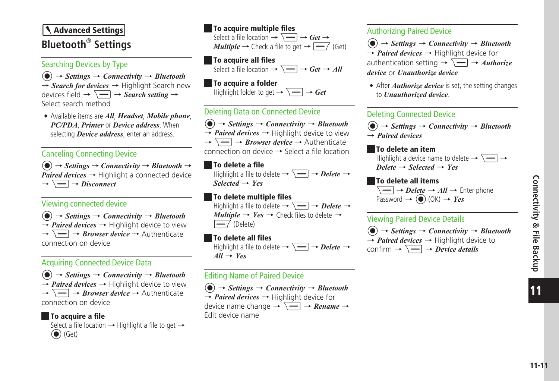# <span id="page-10-0"></span>**Advanced Settings Bluetooth**®  **Settings**

### Searching Devices by Type

 $\left( \bigcirc \right) \rightarrow$  *Settings*  $\rightarrow$  *Connectivity*  $\rightarrow$  *Bluetooth* → *Search for devices* → Highlight Search new devices field  $\rightarrow \overline{\setminus -}$   $\rightarrow$  *Search setting*  $\rightarrow$ Select search method

・Available items are *All*, *Headset*, *Mobile phone*, *PC/PDA*, *Printer* or *Device address*. When selecting *Device address*, enter an address.

### Canceling Connecting Device

 $\langle \bullet \rangle \rightarrow$  *Settings*  $\rightarrow$  *Connectivity*  $\rightarrow$  *Bluetooth*  $\rightarrow$ *Paired devices*  $\rightarrow$  Highlight a connected device  $\rightarrow \Box \rightarrow Disconnect$ 

### Viewing connected device

 $\left( \widehat{\bullet} \right) \rightarrow$  *Settings*  $\rightarrow$  *Connectivity*  $\rightarrow$  *Bluetooth*  $\rightarrow$  *Paired devices*  $\rightarrow$  Highlight device to view  $\rightarrow \Box \rightarrow$  *Browser device*  $\rightarrow$  Authenticate connection on device

### Acquiring Connected Device Data

 $\langle \bullet \rangle \rightarrow$  *Settings*  $\rightarrow$  *Connectivity*  $\rightarrow$  *Bluetooth*  $\rightarrow$  *Paired devices*  $\rightarrow$  Highlight device to view  $\rightarrow \Box \rightarrow$  *Browser device*  $\rightarrow$  Authenticate connection on device

### ■ To acquire a file

Select a file location  $\rightarrow$  Highlight a file to get  $\rightarrow$  $\left(\bullet\right)$  (Get)

### ■ To acquire multiple files

Select a file location  $\rightarrow \overline{\setminus -}$   $\rightarrow$  *Get*  $\rightarrow$ *Multiple*  $\rightarrow$  Check a file to get  $\rightarrow \boxed{\rightarrow}$  (Get)

### ■ To acquire all files

Select a file location  $\rightarrow \Box \rightarrow Get \rightarrow All$ 

■ To acquire a folder Highlight folder to get  $\rightarrow \overline{\setminus -}$   $\rightarrow$  *Get* 

### Deleting Data on Connected Device

 $\left(\bullet\right) \rightarrow$  *Settings*  $\rightarrow$  *Connectivity*  $\rightarrow$  *Bluetooth*  $\rightarrow$  *Paired devices*  $\rightarrow$  Highlight device to view →o→ *Browser device* → Authenticate connection on device → Select a file location

### ■ To delete a file

Highlight a file to delete  $\rightarrow \overline{\setminus -}$   $\rightarrow$  *Delete*  $\rightarrow$ *Selected* → *Yes*

### ■ To delete multiple files

Highlight a file to delete  $\rightarrow \Box \rightarrow$  *Delete*  $\rightarrow$  $\textit{Multiple} \rightarrow \textit{Yes} \rightarrow \text{Check} \text{ files to delete} \rightarrow$  $\overline{-7}$  (Delete)

### ■ To delete all files

Highlight a file to delete  $\rightarrow \overline{\setminus} \rightarrow$  *Delete*  $\rightarrow$ *All* → *Yes*

### Editing Name of Paired Device

 $\phi$   $\rightarrow$  *Settings*  $\rightarrow$  *Connectivity*  $\rightarrow$  *Bluetooth* → *Paired devices* → Highlight device for device name change  $\rightarrow \overline{\setminus -}$   $\rightarrow$  *Rename*  $\rightarrow$ Edit device name

### Authorizing Paired Device

 $\left( \widehat{\bullet} \right) \rightarrow$  *Settings*  $\rightarrow$  *Connectivity*  $\rightarrow$  *Bluetooth* → *Paired devices* → Highlight device for authentication setting  $\rightarrow \overline{\setminus -}$   $\rightarrow$  *Authorize device* or *Unauthorize device*

• After *Authorize device* is set, the setting changes to *Unauthorized device*.

### Deleting Connected Device

 $\left(\bullet\right) \rightarrow$  *Settings*  $\rightarrow$  *Connectivity*  $\rightarrow$  *Bluetooth* → *Paired devices*

### ■ To delete an item

Highlight a device name to delete  $\rightarrow \overline{\setminus -}$   $\rightarrow$  $Delete \rightarrow Selected \rightarrow Yes$ 

# ■ To delete all items

 $\sqrt{-}$   $\rightarrow$  *Delete*  $\rightarrow$  *All*  $\rightarrow$  Enter phone Password  $\rightarrow$  ( $\bullet$ ) (OK)  $\rightarrow$  *Yes* 

### Viewing Paired Device Details